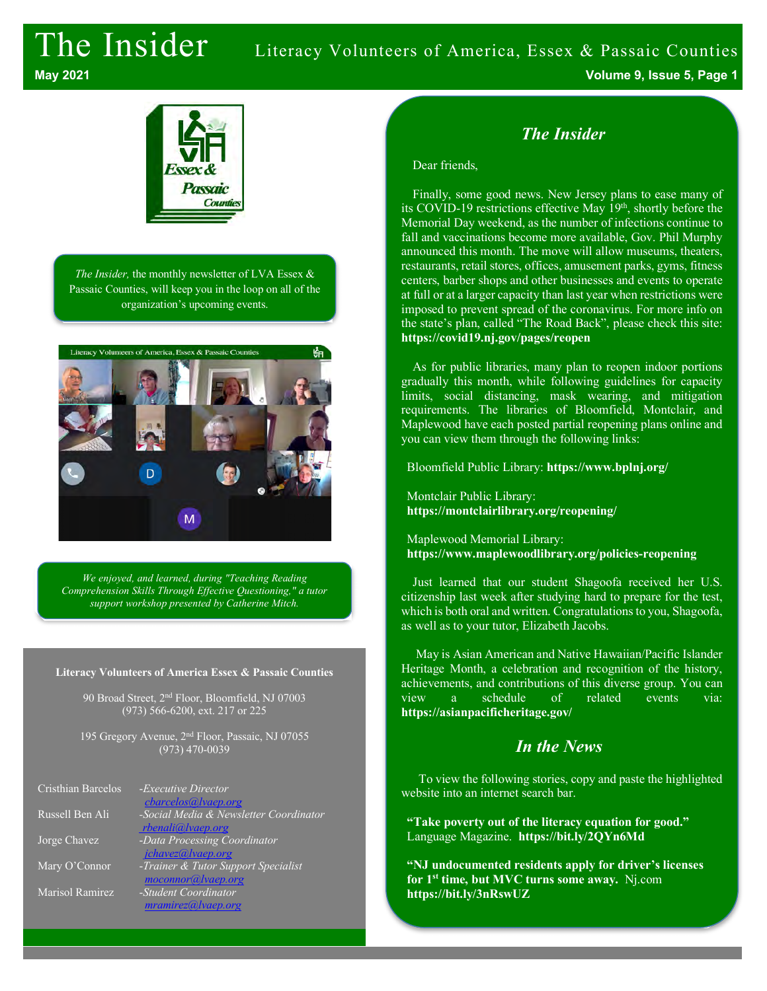# The Insider Literacy Volunteers of America, Essex & Passaic Counties

**May 2021 Volume 9, Issue 5, Page 1**



*The Insider,* the monthly newsletter of LVA Essex & Passaic Counties, will keep you in the loop on all of the organization's upcoming events.



*We enjoyed, and learned, during "Teaching Reading Comprehension Skills Through Effective Questioning," a tutor support workshop presented by Catherine Mitch.*

#### **Literacy Volunteers of America Essex & Passaic Counties**

90 Broad Street, 2nd Floor, Bloomfield, NJ 07003 (973) 566-6200, ext. 217 or 225

195 Gregory Avenue, 2nd Floor, Passaic, NJ 07055 (973) 470-0039

| Cristhian Barcelos | -Executive Director                    |
|--------------------|----------------------------------------|
|                    | <i>cbarcelos@lvaep.org</i>             |
| Russell Ben Ali    | -Social Media & Newsletter Coordinator |
|                    | rbenali@lvaep.org                      |
| Jorge Chavez       | -Data Processing Coordinator           |
|                    | jchavez@lvaep.org                      |
| Mary O'Connor      | -Trainer & Tutor Support Specialist    |
|                    | moconnor@lvaep.org                     |
| Marisol Ramirez    | -Student Coordinator                   |
|                    | mramirez@ vaep.org                     |

# *The Insider*

Dear friends,

Finally, some good news. New Jersey plans to ease many of its COVID-19 restrictions effective May 19th, shortly before the Memorial Day weekend, as the number of infections continue to fall and vaccinations become more available, Gov. Phil Murphy announced this month. The move will allow museums, theaters, restaurants, retail stores, offices, amusement parks, gyms, fitness centers, barber shops and other businesses and events to operate at full or at a larger capacity than last year when restrictions were imposed to prevent spread of the coronavirus. For more info on the state's plan, called "The Road Back", please check this site: **https://covid19.nj.gov/pages/reopen**

As for public libraries, many plan to reopen indoor portions gradually this month, while following guidelines for capacity limits, social distancing, mask wearing, and mitigation requirements. The libraries of Bloomfield, Montclair, and Maplewood have each posted partial reopening plans online and you can view them through the following links:

Bloomfield Public Library: **https://www.bplnj.org/**

Montclair Public Library: **https://montclairlibrary.org/reopening/**

Maplewood Memorial Library: **https://www.maplewoodlibrary.org/policies-reopening**

Just learned that our student Shagoofa received her U.S. citizenship last week after studying hard to prepare for the test, which is both oral and written. Congratulations to you, Shagoofa, as well as to your tutor, Elizabeth Jacobs.

May is Asian American and Native Hawaiian/Pacific Islander Heritage Month, a celebration and recognition of the history, achievements, and contributions of this diverse group. You can view a schedule of related events via: **https://asianpacificheritage.gov/**

# *In the News*

To view the following stories, copy and paste the highlighted website into an internet search bar.

**"Take poverty out of the literacy equation for good."** Language Magazine. **https://bit.ly/2QYn6Md**

**"NJ undocumented residents apply for driver's licenses for 1st time, but MVC turns some away.** Nj.com **https://bit.ly/3nRswUZ**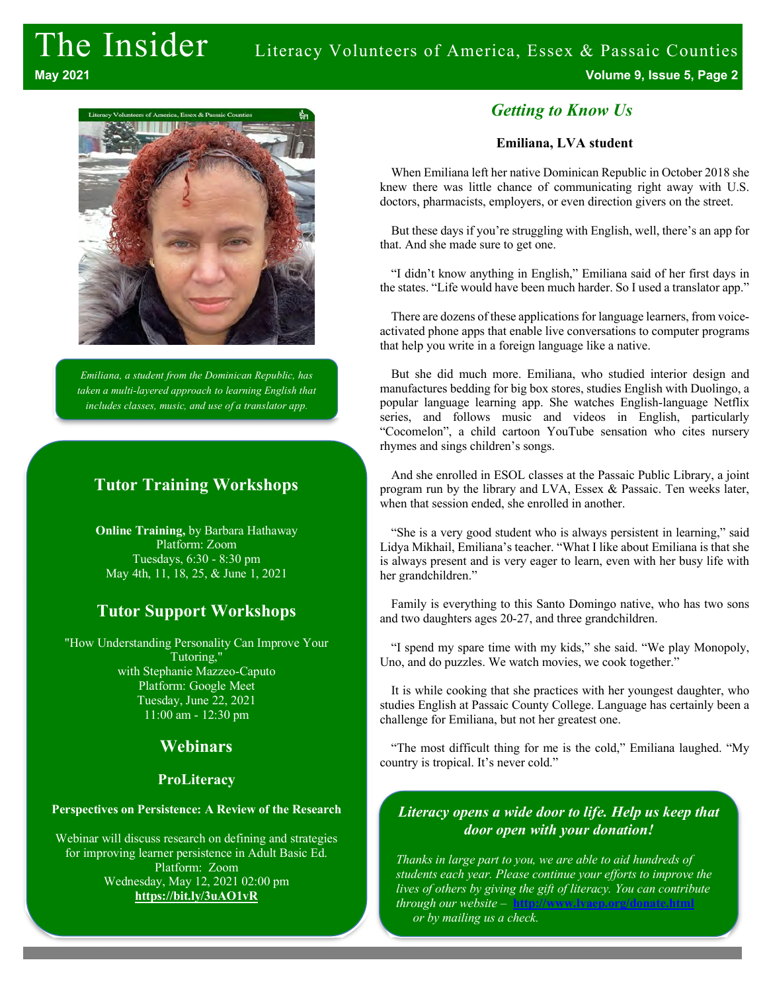

*Emiliana, a student from the Dominican Republic, has taken a multi-layered approach to learning English that includes classes, music, and use of a translator app.*

# **Tutor Training Workshops**

**Online Training,** by Barbara Hathaway Platform: Zoom Tuesdays, 6:30 - 8:30 pm May 4th, 11, 18, 25, & June 1, 2021

# **Tutor Support Workshops**

"How Understanding Personality Can Improve Your Tutoring," with Stephanie Mazzeo-Caputo Platform: Google Meet Tuesday, June 22, 2021 11:00 am - 12:30 pm

## **Webinars**

#### **ProLiteracy**

#### **Perspectives on Persistence: A Review of the Research**

Webinar will discuss research on defining and strategies for improving learner persistence in Adult Basic Ed. Platform: Zoom Wednesday, May 12, 2021 02:00 pm **https://bit.ly/3uAO1vR**

## *Getting to Know Us*

#### **Emiliana, LVA student**

When Emiliana left her native Dominican Republic in October 2018 she knew there was little chance of communicating right away with U.S. doctors, pharmacists, employers, or even direction givers on the street.

But these days if you're struggling with English, well, there's an app for that. And she made sure to get one.

"I didn't know anything in English," Emiliana said of her first days in the states. "Life would have been much harder. So I used a translator app."

There are dozens of these applications for language learners, from voiceactivated phone apps that enable live conversations to computer programs that help you write in a foreign language like a native.

But she did much more. Emiliana, who studied interior design and manufactures bedding for big box stores, studies English with Duolingo, a popular language learning app. She watches English-language Netflix series, and follows music and videos in English, particularly "Cocomelon", a child cartoon YouTube sensation who cites nursery rhymes and sings children's songs.

And she enrolled in ESOL classes at the Passaic Public Library, a joint program run by the library and LVA, Essex & Passaic. Ten weeks later, when that session ended, she enrolled in another.

"She is a very good student who is always persistent in learning," said Lidya Mikhail, Emiliana's teacher. "What I like about Emiliana is that she is always present and is very eager to learn, even with her busy life with her grandchildren."

Family is everything to this Santo Domingo native, who has two sons and two daughters ages 20-27, and three grandchildren.

"I spend my spare time with my kids," she said. "We play Monopoly, Uno, and do puzzles. We watch movies, we cook together."

It is while cooking that she practices with her youngest daughter, who studies English at Passaic County College. Language has certainly been a challenge for Emiliana, but not her greatest one.

"The most difficult thing for me is the cold," Emiliana laughed. "My country is tropical. It's never cold."

### *Literacy opens a wide door to life. Help us keep that door open with your donation!*

*Thanks in large part to you, we are able to aid hundreds of students each year. Please continue your efforts to improve the lives of others by giving the gift of literacy. You can contribute through our website* – **http://www.lvaep.org/donate.html** *or by mailing us a check.*